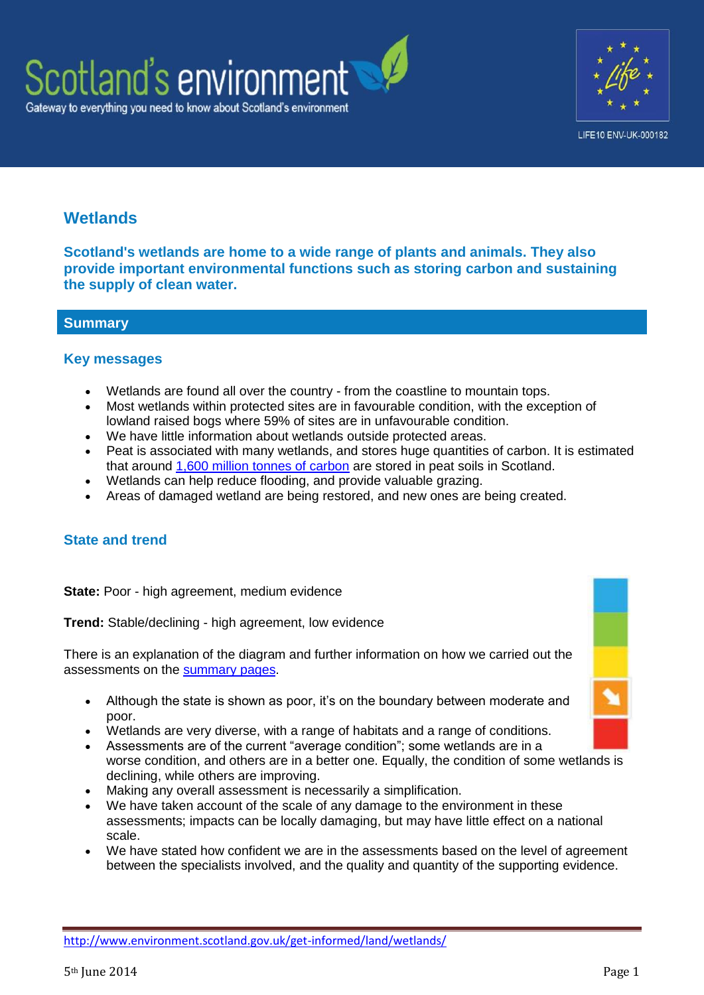



# **Wetlands**

**Scotland's wetlands are home to a wide range of plants and animals. They also provide important environmental functions such as storing carbon and sustaining the supply of clean water.**

# **Summary**

# **Key messages**

- Wetlands are found all over the country from the coastline to mountain tops.
- Most wetlands within protected sites are in favourable condition, with the exception of lowland raised bogs where 59% of sites are in unfavourable condition.
- We have little information about wetlands outside protected areas.
- Peat is associated with many wetlands, and stores huge quantities of carbon. It is estimated that around [1,600 million tonnes of carbon](http://www.scotland.gov.uk/Publications/2009/11/12090841/10) are stored in peat soils in Scotland.
- Wetlands can help reduce flooding, and provide valuable grazing.
- Areas of damaged wetland are being restored, and new ones are being created.

# **State and trend**

**State:** Poor - high agreement, medium evidence

**Trend:** Stable/declining - high agreement, low evidence

There is an explanation of the diagram and further information on how we carried out the assessments on the [summary pages.](http://www.environment.scotland.gov.uk/get-informed/state-of-the-environment-summary/state-and-trend-assessments/)

- Although the state is shown as poor, it's on the boundary between moderate and poor.
- Wetlands are very diverse, with a range of habitats and a range of conditions.
- Assessments are of the current "average condition"; some wetlands are in a worse condition, and others are in a better one. Equally, the condition of some wetlands is declining, while others are improving.
- Making any overall assessment is necessarily a simplification.
- We have taken account of the scale of any damage to the environment in these assessments; impacts can be locally damaging, but may have little effect on a national scale.
- We have stated how confident we are in the assessments based on the level of agreement between the specialists involved, and the quality and quantity of the supporting evidence.

<http://www.environment.scotland.gov.uk/get-informed/land/wetlands/>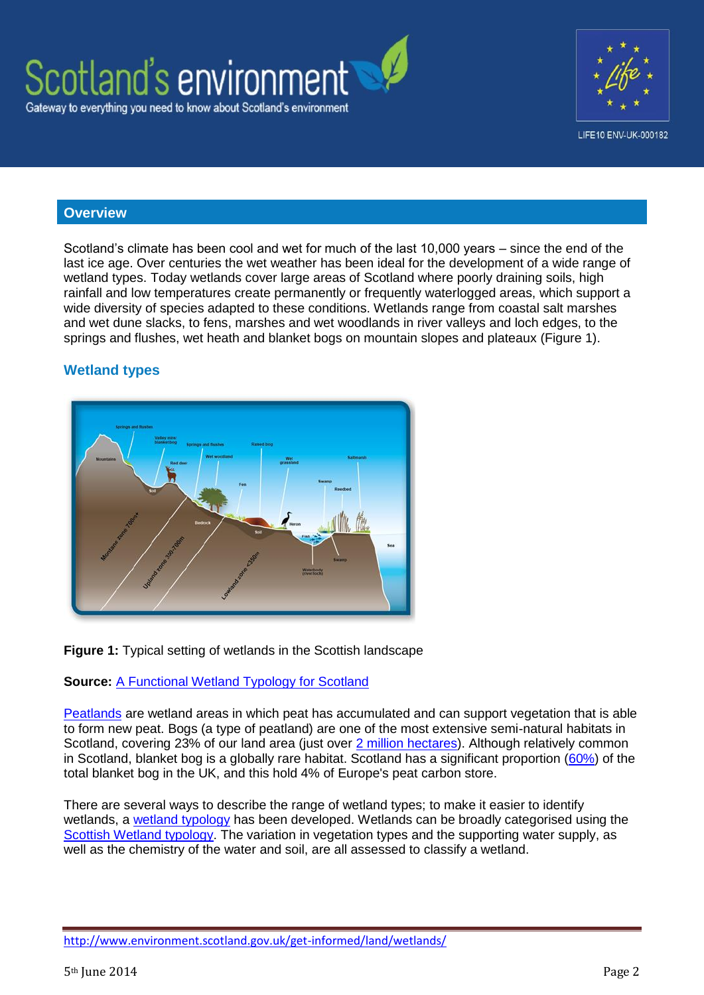



### **Overview**

Scotland's climate has been cool and wet for much of the last 10,000 years – since the end of the last ice age. Over centuries the wet weather has been ideal for the development of a wide range of wetland types. Today wetlands cover large areas of Scotland where poorly draining soils, high rainfall and low temperatures create permanently or frequently waterlogged areas, which support a wide diversity of species adapted to these conditions. Wetlands range from coastal salt marshes and wet dune slacks, to fens, marshes and wet woodlands in river valleys and loch edges, to the springs and flushes, wet heath and blanket bogs on mountain slopes and plateaux (Figure 1).

# **Wetland types**



**Figure 1:** Typical setting of wetlands in the Scottish landscape

#### **Source:** [A Functional Wetland Typology for Scotland](http://www.sepa.org.uk/science_and_research/what_we_do/biodiversity/idoc.ashx?docid=29f6f1fd-5e34-4ae0-9310-31ff1b4f79bf&version=-1)

[Peatlands](http://jncc.defra.gov.uk/page-5861) are wetland areas in which peat has accumulated and can support vegetation that is able to form new peat. Bogs (a type of peatland) are one of the most extensive semi-natural habitats in Scotland, covering 23% of our land area (just over  $2$  million hectares). Although relatively common in Scotland, blanket bog is a globally rare habitat. Scotland has a significant proportion [\(60%\)](http://www.scottish.parliament.uk/ResearchBriefingsAndFactsheets/S4/SB_12-28.pdf) of the total blanket bog in the UK, and this hold 4% of Europe's peat carbon store.

There are several ways to describe the range of wetland types; to make it easier to identify wetlands, a [wetland typology](http://www.sepa.org.uk/science_and_research/what_we_do/biodiversity/idoc.ashx?docid=29f6f1fd-5e34-4ae0-9310-31ff1b4f79bf&version=-1) has been developed. Wetlands can be broadly categorised using the [Scottish Wetland typology.](http://www.sepa.org.uk/science_and_research/what_we_do/biodiversity/wetlands.aspx) The variation in vegetation types and the supporting water supply, as well as the chemistry of the water and soil, are all assessed to classify a wetland.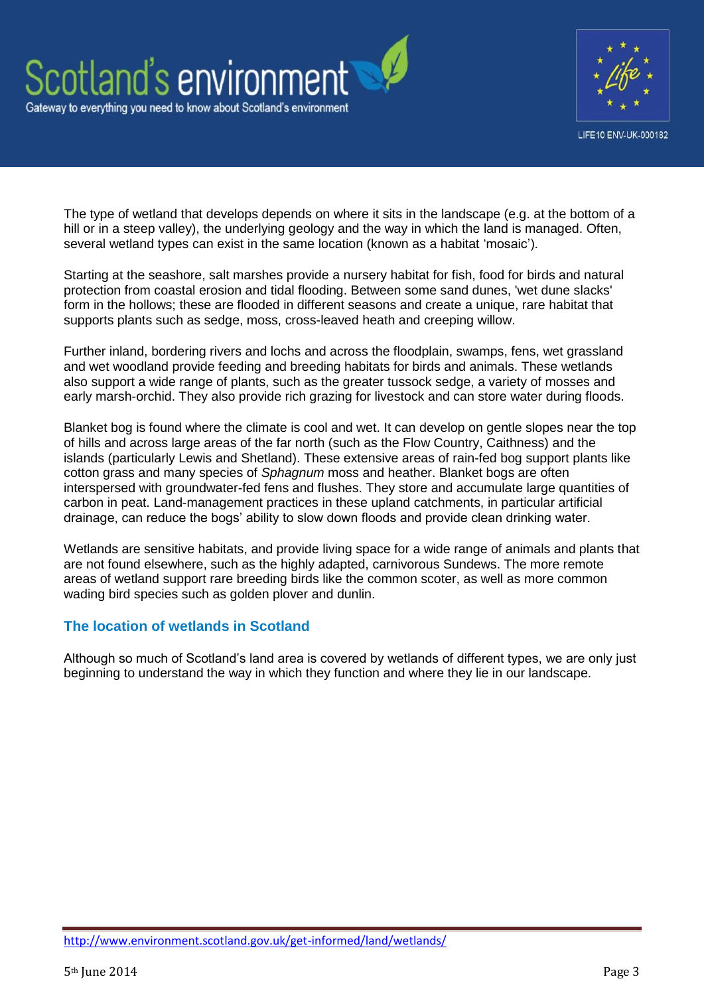



The type of wetland that develops depends on where it sits in the landscape (e.g. at the bottom of a hill or in a steep valley), the underlying geology and the way in which the land is managed. Often, several wetland types can exist in the same location (known as a habitat 'mosaic').

Starting at the seashore, salt marshes provide a nursery habitat for fish, food for birds and natural protection from coastal erosion and tidal flooding. Between some sand dunes, 'wet dune slacks' form in the hollows; these are flooded in different seasons and create a unique, rare habitat that supports plants such as sedge, moss, cross-leaved heath and creeping willow.

Further inland, bordering rivers and lochs and across the floodplain, swamps, fens, wet grassland and wet woodland provide feeding and breeding habitats for birds and animals. These wetlands also support a wide range of plants, such as the greater tussock sedge, a variety of mosses and early marsh-orchid. They also provide rich grazing for livestock and can store water during floods.

Blanket bog is found where the climate is cool and wet. It can develop on gentle slopes near the top of hills and across large areas of the far north (such as the Flow Country, Caithness) and the islands (particularly Lewis and Shetland). These extensive areas of rain-fed bog support plants like cotton grass and many species of *Sphagnum* moss and heather. Blanket bogs are often interspersed with groundwater-fed fens and flushes. They store and accumulate large quantities of carbon in peat. Land-management practices in these upland catchments, in particular artificial drainage, can reduce the bogs' ability to slow down floods and provide clean drinking water.

Wetlands are sensitive habitats, and provide living space for a wide range of animals and plants that are not found elsewhere, such as the highly adapted, carnivorous Sundews. The more remote areas of wetland support rare breeding birds like the common scoter, as well as more common wading bird species such as golden plover and dunlin.

# **The location of wetlands in Scotland**

Although so much of Scotland's land area is covered by wetlands of different types, we are only just beginning to understand the way in which they function and where they lie in our landscape.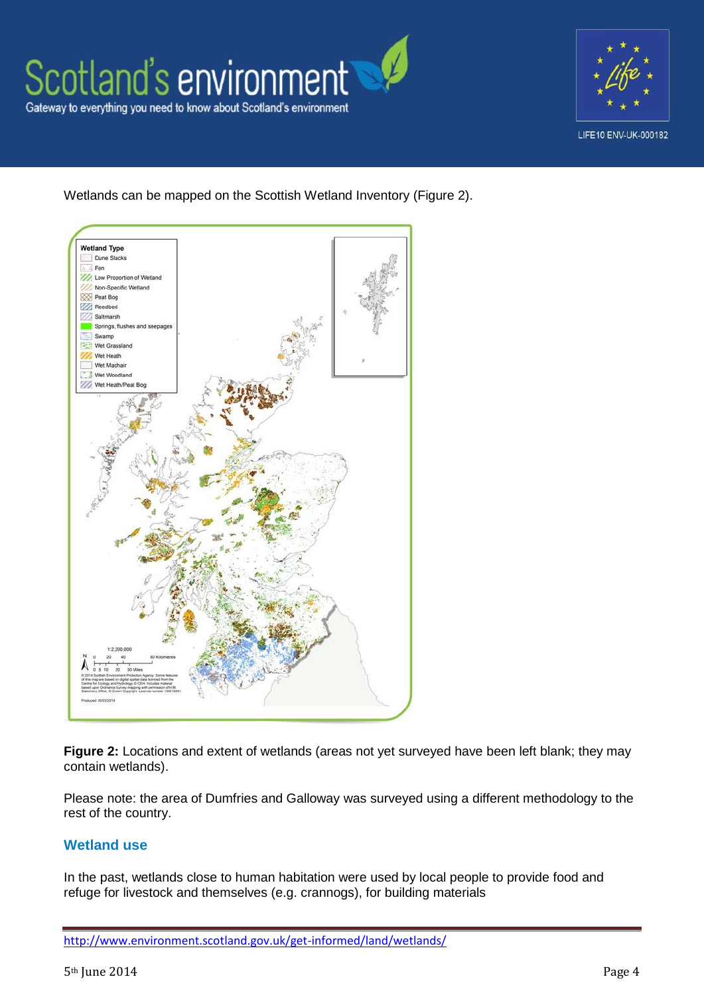



Wetlands can be mapped on the Scottish Wetland Inventory (Figure 2).



**Figure 2:** Locations and extent of wetlands (areas not yet surveyed have been left blank; they may contain wetlands).

Please note: the area of Dumfries and Galloway was surveyed using a different methodology to the rest of the country.

# **Wetland use**

In the past, wetlands close to human habitation were used by local people to provide food and refuge for livestock and themselves (e.g. crannogs), for building materials

<http://www.environment.scotland.gov.uk/get-informed/land/wetlands/>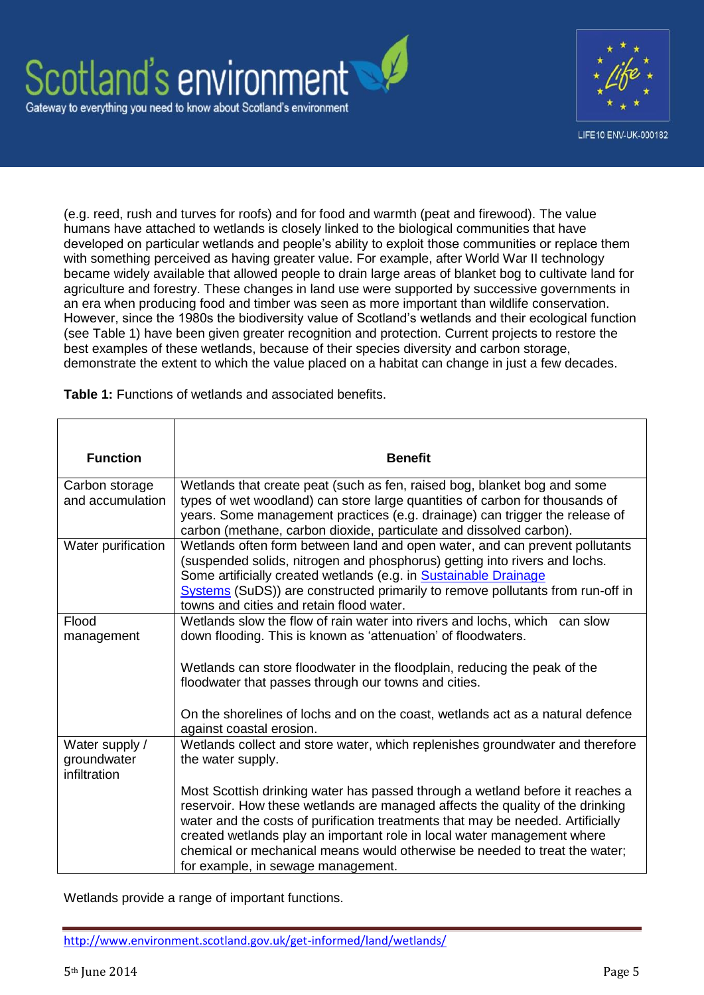



(e.g. reed, rush and turves for roofs) and for food and warmth (peat and firewood). The value humans have attached to wetlands is closely linked to the biological communities that have developed on particular wetlands and people's ability to exploit those communities or replace them with something perceived as having greater value. For example, after World War II technology became widely available that allowed people to drain large areas of blanket bog to cultivate land for agriculture and forestry. These changes in land use were supported by successive governments in an era when producing food and timber was seen as more important than wildlife conservation. However, since the 1980s the biodiversity value of Scotland's wetlands and their ecological function (see Table 1) have been given greater recognition and protection. Current projects to restore the best examples of these wetlands, because of their species diversity and carbon storage, demonstrate the extent to which the value placed on a habitat can change in just a few decades.

**Table 1:** Functions of wetlands and associated benefits.

| <b>Function</b>                               | <b>Benefit</b>                                                                                                                                                                                                                                                                                                                                                                                                                                   |  |  |
|-----------------------------------------------|--------------------------------------------------------------------------------------------------------------------------------------------------------------------------------------------------------------------------------------------------------------------------------------------------------------------------------------------------------------------------------------------------------------------------------------------------|--|--|
| Carbon storage<br>and accumulation            | Wetlands that create peat (such as fen, raised bog, blanket bog and some<br>types of wet woodland) can store large quantities of carbon for thousands of<br>years. Some management practices (e.g. drainage) can trigger the release of<br>carbon (methane, carbon dioxide, particulate and dissolved carbon).                                                                                                                                   |  |  |
| Water purification                            | Wetlands often form between land and open water, and can prevent pollutants<br>(suspended solids, nitrogen and phosphorus) getting into rivers and lochs.<br>Some artificially created wetlands (e.g. in Sustainable Drainage<br>Systems (SuDS)) are constructed primarily to remove pollutants from run-off in<br>towns and cities and retain flood water.                                                                                      |  |  |
| Flood<br>management                           | Wetlands slow the flow of rain water into rivers and lochs, which can slow<br>down flooding. This is known as 'attenuation' of floodwaters.                                                                                                                                                                                                                                                                                                      |  |  |
|                                               | Wetlands can store floodwater in the floodplain, reducing the peak of the<br>floodwater that passes through our towns and cities.                                                                                                                                                                                                                                                                                                                |  |  |
|                                               | On the shorelines of lochs and on the coast, wetlands act as a natural defence<br>against coastal erosion.                                                                                                                                                                                                                                                                                                                                       |  |  |
| Water supply /<br>groundwater<br>infiltration | Wetlands collect and store water, which replenishes groundwater and therefore<br>the water supply.                                                                                                                                                                                                                                                                                                                                               |  |  |
|                                               | Most Scottish drinking water has passed through a wetland before it reaches a<br>reservoir. How these wetlands are managed affects the quality of the drinking<br>water and the costs of purification treatments that may be needed. Artificially<br>created wetlands play an important role in local water management where<br>chemical or mechanical means would otherwise be needed to treat the water;<br>for example, in sewage management. |  |  |

Wetlands provide a range of important functions.

<http://www.environment.scotland.gov.uk/get-informed/land/wetlands/>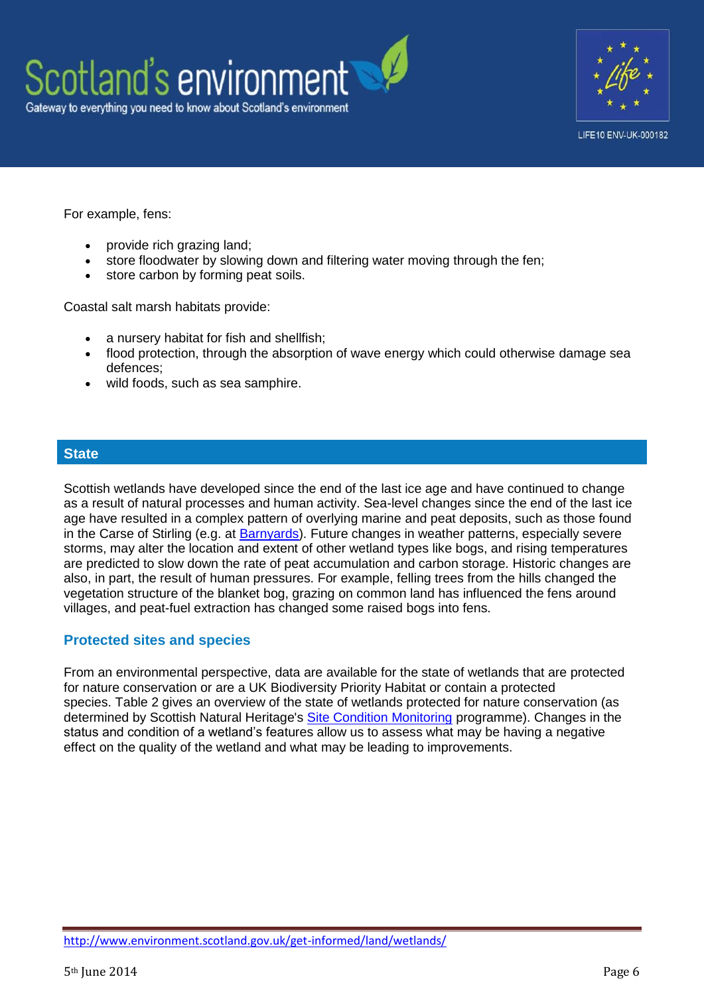



For example, fens:

- provide rich grazing land;
- store floodwater by slowing down and filtering water moving through the fen;
- store carbon by forming peat soils.

Coastal salt marsh habitats provide:

- a nursery habitat for fish and shellfish;
- flood protection, through the absorption of wave energy which could otherwise damage sea defences;
- wild foods, such as sea samphire.

### **State**

Scottish wetlands have developed since the end of the last ice age and have continued to change as a result of natural processes and human activity. Sea-level changes since the end of the last ice age have resulted in a complex pattern of overlying marine and peat deposits, such as those found in the Carse of Stirling (e.g. at [Barnyards\)](http://jncc.defra.gov.uk/pdf/gcrdb/GCRsiteaccount1955.pdf). Future changes in weather patterns, especially severe storms, may alter the location and extent of other wetland types like bogs, and rising temperatures are predicted to slow down the rate of peat accumulation and carbon storage. Historic changes are also, in part, the result of human pressures. For example, felling trees from the hills changed the vegetation structure of the blanket bog, grazing on common land has influenced the fens around villages, and peat-fuel extraction has changed some raised bogs into fens.

# **Protected sites and species**

From an environmental perspective, data are available for the state of wetlands that are protected for nature conservation or are a UK Biodiversity Priority Habitat or contain a protected species. Table 2 gives an overview of the state of wetlands protected for nature conservation (as determined by Scottish Natural Heritage's [Site Condition Monitoring](http://www.snh.gov.uk/docs/B686627.pdf) programme). Changes in the status and condition of a wetland's features allow us to assess what may be having a negative effect on the quality of the wetland and what may be leading to improvements.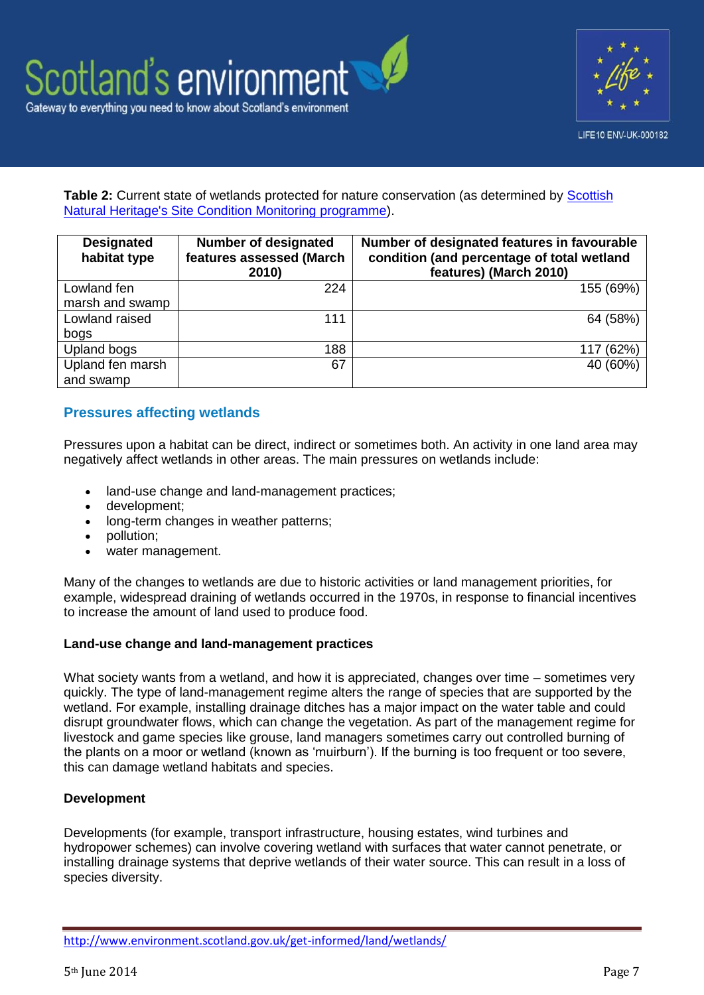



**Table 2:** Current state of wetlands protected for nature conservation (as determined by [Scottish](http://www.snh.gov.uk/protecting-scotlands-nature/protected-areas/site-condition-monitoring/)  [Natural Heritage's Site Condition Monitoring programme\)](http://www.snh.gov.uk/protecting-scotlands-nature/protected-areas/site-condition-monitoring/).

| <b>Designated</b><br>habitat type | <b>Number of designated</b><br>features assessed (March<br>2010) | Number of designated features in favourable<br>condition (and percentage of total wetland<br>features) (March 2010) |
|-----------------------------------|------------------------------------------------------------------|---------------------------------------------------------------------------------------------------------------------|
| Lowland fen                       | 224                                                              | 155 (69%)                                                                                                           |
| marsh and swamp                   |                                                                  |                                                                                                                     |
| Lowland raised                    | 111                                                              | 64 (58%)                                                                                                            |
| bogs                              |                                                                  |                                                                                                                     |
| Upland bogs                       | 188                                                              | 117 (62%)                                                                                                           |
| Upland fen marsh                  | 67                                                               | 40 (60%)                                                                                                            |
| and swamp                         |                                                                  |                                                                                                                     |

# **Pressures affecting wetlands**

Pressures upon a habitat can be direct, indirect or sometimes both. An activity in one land area may negatively affect wetlands in other areas. The main pressures on wetlands include:

- land-use change and land-management practices;
- development;
- long-term changes in weather patterns;
- pollution;
- water management.

Many of the changes to wetlands are due to historic activities or land management priorities, for example, widespread draining of wetlands occurred in the 1970s, in response to financial incentives to increase the amount of land used to produce food.

#### **Land-use change and land-management practices**

What society wants from a wetland, and how it is appreciated, changes over time – sometimes very quickly. The type of land-management regime alters the range of species that are supported by the wetland. For example, installing drainage ditches has a major impact on the water table and could disrupt groundwater flows, which can change the vegetation. As part of the management regime for livestock and game species like grouse, land managers sometimes carry out controlled burning of the plants on a moor or wetland (known as 'muirburn'). If the burning is too frequent or too severe, this can damage wetland habitats and species.

#### **Development**

Developments (for example, transport infrastructure, housing estates, wind turbines and hydropower schemes) can involve covering wetland with surfaces that water cannot penetrate, or installing drainage systems that deprive wetlands of their water source. This can result in a loss of species diversity.

<http://www.environment.scotland.gov.uk/get-informed/land/wetlands/>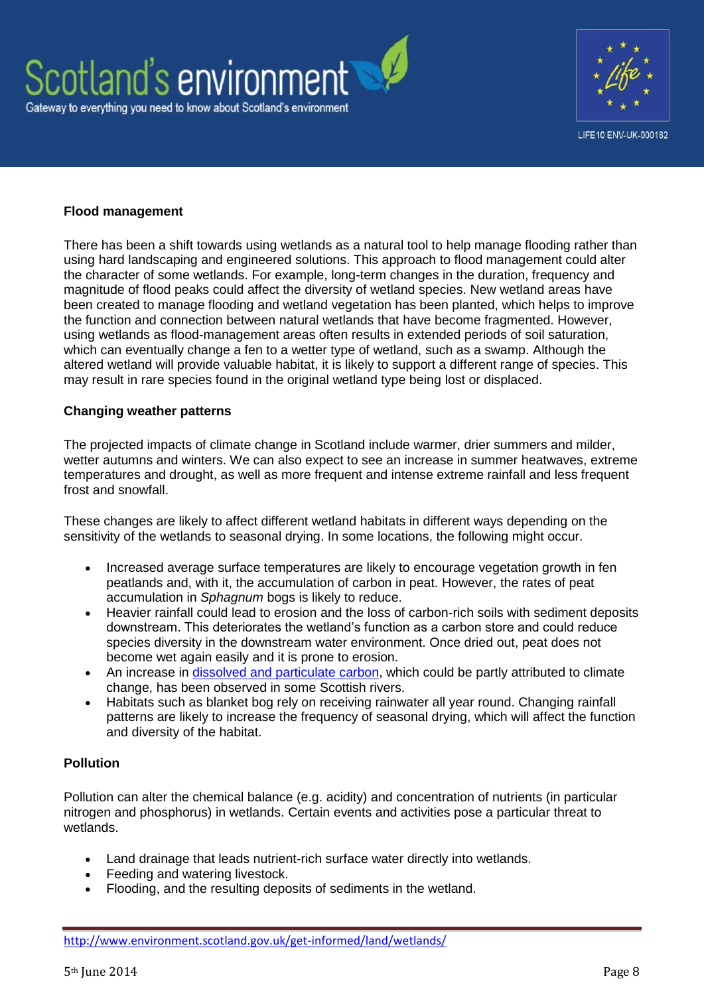



#### **Flood management**

There has been a shift towards using wetlands as a natural tool to help manage flooding rather than using hard landscaping and engineered solutions. This approach to flood management could alter the character of some wetlands. For example, long-term changes in the duration, frequency and magnitude of flood peaks could affect the diversity of wetland species. New wetland areas have been created to manage flooding and wetland vegetation has been planted, which helps to improve the function and connection between natural wetlands that have become fragmented. However, using wetlands as flood-management areas often results in extended periods of soil saturation, which can eventually change a fen to a wetter type of wetland, such as a swamp. Although the altered wetland will provide valuable habitat, it is likely to support a different range of species. This may result in rare species found in the original wetland type being lost or displaced.

#### **Changing weather patterns**

The projected impacts of climate change in Scotland include warmer, drier summers and milder, wetter autumns and winters. We can also expect to see an increase in summer heatwaves, extreme temperatures and drought, as well as more frequent and intense extreme rainfall and less frequent frost and snowfall.

These changes are likely to affect different wetland habitats in different ways depending on the sensitivity of the wetlands to seasonal drying. In some locations, the following might occur.

- Increased average surface temperatures are likely to encourage vegetation growth in fen peatlands and, with it, the accumulation of carbon in peat. However, the rates of peat accumulation in *Sphagnum* bogs is likely to reduce.
- Heavier rainfall could lead to erosion and the loss of carbon-rich soils with sediment deposits downstream. This deteriorates the wetland's function as a carbon store and could reduce species diversity in the downstream water environment. Once dried out, peat does not become wet again easily and it is prone to erosion.
- An increase in [dissolved and particulate carbon,](http://sepa.org.uk/climate_change/idoc.ashx?docid=b44060fe-5acf-4383-9efb-80b941405c66&version=-1) which could be partly attributed to climate change, has been observed in some Scottish rivers.
- Habitats such as blanket bog rely on receiving rainwater all year round. Changing rainfall patterns are likely to increase the frequency of seasonal drying, which will affect the function and diversity of the habitat.

#### **Pollution**

Pollution can alter the chemical balance (e.g. acidity) and concentration of nutrients (in particular nitrogen and phosphorus) in wetlands. Certain events and activities pose a particular threat to wetlands.

- Land drainage that leads nutrient-rich surface water directly into wetlands.
- Feeding and watering livestock.
- Flooding, and the resulting deposits of sediments in the wetland.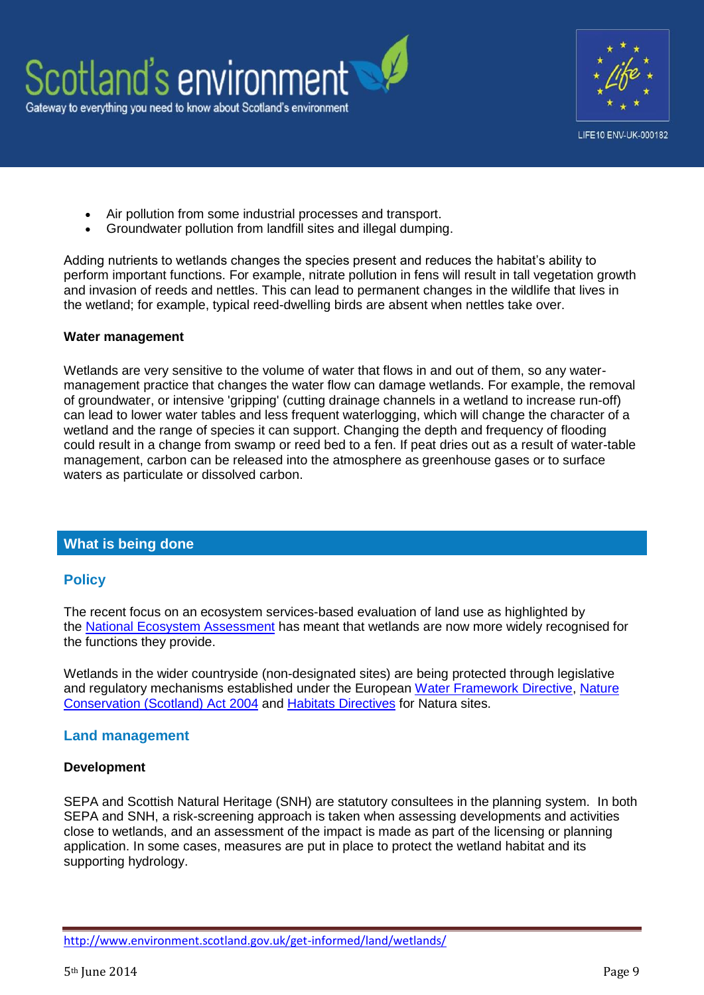

- Air pollution from some industrial processes and transport.
- Groundwater pollution from landfill sites and illegal dumping.

Adding nutrients to wetlands changes the species present and reduces the habitat's ability to perform important functions. For example, nitrate pollution in fens will result in tall vegetation growth and invasion of reeds and nettles. This can lead to permanent changes in the wildlife that lives in the wetland; for example, typical reed-dwelling birds are absent when nettles take over.

#### **Water management**

Wetlands are very sensitive to the volume of water that flows in and out of them, so any watermanagement practice that changes the water flow can damage wetlands. For example, the removal of groundwater, or intensive 'gripping' (cutting drainage channels in a wetland to increase run-off) can lead to lower water tables and less frequent waterlogging, which will change the character of a wetland and the range of species it can support. Changing the depth and frequency of flooding could result in a change from swamp or reed bed to a fen. If peat dries out as a result of water-table management, carbon can be released into the atmosphere as greenhouse gases or to surface waters as particulate or dissolved carbon.

# **What is being done**

# **Policy**

The recent focus on an ecosystem services-based evaluation of land use as highlighted by the [National Ecosystem Assessment](http://uknea.unep-wcmc.org/Resources/tabid/82/Default.aspx) has meant that wetlands are now more widely recognised for the functions they provide.

Wetlands in the wider countryside (non-designated sites) are being protected through legislative and regulatory mechanisms established under the European [Water Framework Directive,](http://www.legislation.gov.uk/asp/2003/3/contents) [Nature](http://www.legislation.gov.uk/asp/2004/6/contents)  [Conservation \(Scotland\) Act 2004](http://www.legislation.gov.uk/asp/2004/6/contents) and [Habitats Directives](http://ec.europa.eu/environment/nature/legislation/habitatsdirective/index_en.htm) for Natura sites.

#### **Land management**

#### **Development**

SEPA and Scottish Natural Heritage (SNH) are statutory consultees in the planning system. In both SEPA and SNH, a risk-screening approach is taken when assessing developments and activities close to wetlands, and an assessment of the impact is made as part of the licensing or planning application. In some cases, measures are put in place to protect the wetland habitat and its supporting hydrology.